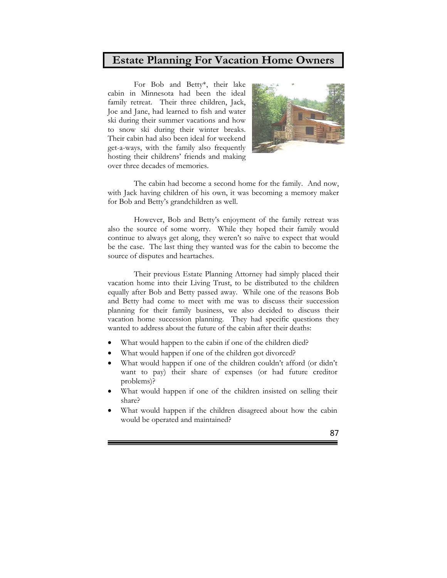## **Estate Planning For Vacation Home Owners**

 For Bob and Betty\*, their lake cabin in Minnesota had been the ideal family retreat. Their three children, Jack, Joe and Jane, had learned to fish and water ski during their summer vacations and how to snow ski during their winter breaks. Their cabin had also been ideal for weekend get-a-ways, with the family also frequently hosting their childrens' friends and making over three decades of memories.



 The cabin had become a second home for the family. And now, with Jack having children of his own, it was becoming a memory maker for Bob and Betty's grandchildren as well.

 However, Bob and Betty's enjoyment of the family retreat was also the source of some worry. While they hoped their family would continue to always get along, they weren't so naïve to expect that would be the case. The last thing they wanted was for the cabin to become the source of disputes and heartaches.

Their previous Estate Planning Attorney had simply placed their vacation home into their Living Trust, to be distributed to the children equally after Bob and Betty passed away. While one of the reasons Bob and Betty had come to meet with me was to discuss their succession planning for their family business, we also decided to discuss their vacation home succession planning. They had specific questions they wanted to address about the future of the cabin after their deaths:

- What would happen to the cabin if one of the children died?
- What would happen if one of the children got divorced?
- What would happen if one of the children couldn't afford (or didn't want to pay) their share of expenses (or had future creditor problems)?
- What would happen if one of the children insisted on selling their share?
- What would happen if the children disagreed about how the cabin would be operated and maintained?

87